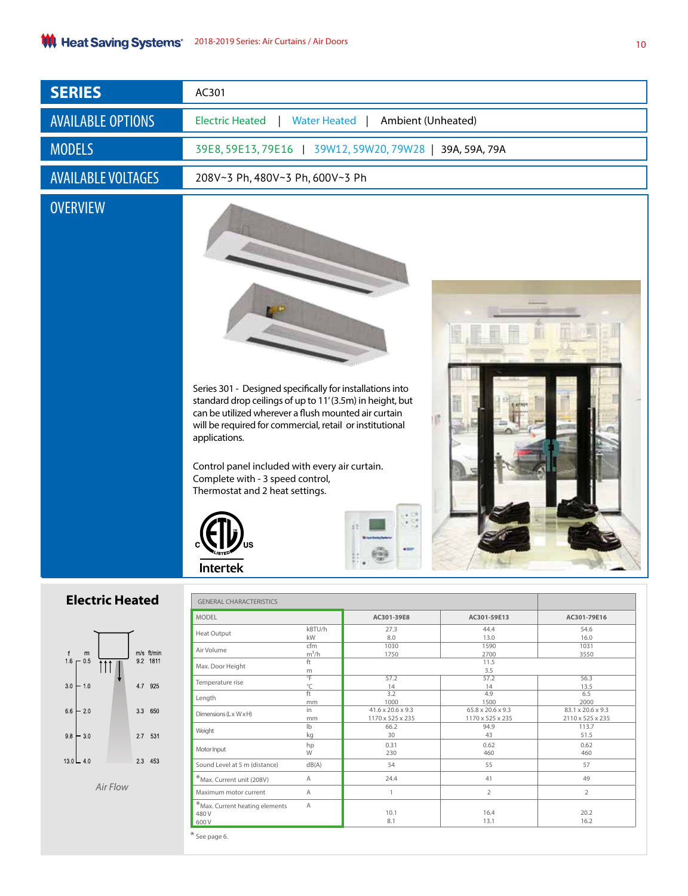| <b>SERIES</b>                                            | AC301                                              |                                                                                                                                                                                                                                                                                                                                                                    |                                       |                          |                                       |  |  |  |
|----------------------------------------------------------|----------------------------------------------------|--------------------------------------------------------------------------------------------------------------------------------------------------------------------------------------------------------------------------------------------------------------------------------------------------------------------------------------------------------------------|---------------------------------------|--------------------------|---------------------------------------|--|--|--|
| <b>AVAILABLE OPTIONS</b>                                 | <b>Electric Heated</b>                             | <b>Water Heated</b><br>Ambient (Unheated)                                                                                                                                                                                                                                                                                                                          |                                       |                          |                                       |  |  |  |
| <b>MODELS</b>                                            | 39E8, 59E13, 79E16                                 | 39W12, 59W20, 79W28   39A, 59A, 79A                                                                                                                                                                                                                                                                                                                                |                                       |                          |                                       |  |  |  |
| <b>AVAILABLE VOLTAGES</b>                                |                                                    | 208V~3 Ph, 480V~3 Ph, 600V~3 Ph                                                                                                                                                                                                                                                                                                                                    |                                       |                          |                                       |  |  |  |
| <b>OVERVIEW</b>                                          | applications.<br><b>Intertek</b>                   | Series 301 - Designed specifically for installations into<br>standard drop ceilings of up to 11'(3.5m) in height, but<br>can be utilized wherever a flush mounted air curtain<br>will be required for commercial, retail or institutional<br>Control panel included with every air curtain.<br>Complete with - 3 speed control,<br>Thermostat and 2 heat settings. |                                       |                          |                                       |  |  |  |
| <b>Electric Heated</b><br><b>GENERAL CHARACTERISTICS</b> |                                                    |                                                                                                                                                                                                                                                                                                                                                                    |                                       |                          |                                       |  |  |  |
|                                                          | <b>MODEL</b>                                       |                                                                                                                                                                                                                                                                                                                                                                    | AC301-39E8                            | AC301-59E13              | AC301-79E16                           |  |  |  |
|                                                          | Heat Output                                        | kBTU/h<br>kW                                                                                                                                                                                                                                                                                                                                                       | 27.3<br>8.0                           | 44.4<br>13.0             | 54.6<br>16.0                          |  |  |  |
| m/s ft/min<br>${\sf m}$<br>f                             | Air Volume                                         | cfm<br>$m^3/h$                                                                                                                                                                                                                                                                                                                                                     | 1030<br>1750                          | 1590<br>2700             | 1031<br>3550                          |  |  |  |
| $16 - 0.5$<br>9.2 1811                                   | Max. Door Height                                   | ft<br>m                                                                                                                                                                                                                                                                                                                                                            |                                       | 11.5<br>3.5              |                                       |  |  |  |
| 47 925<br>$30 + 10$                                      | Temperature rise                                   | °F<br>$^{\circ}{\sf C}$                                                                                                                                                                                                                                                                                                                                            | 57.2<br>14                            | 57.2<br>14               | 56.3<br>13.5                          |  |  |  |
|                                                          | Length                                             | ft<br>mm                                                                                                                                                                                                                                                                                                                                                           | 3.2<br>1000                           | 4.9<br>1500              | 6.5<br>2000                           |  |  |  |
| $66 - 20$<br>3.3 650                                     | Dimensions (Lx WxH)                                | in                                                                                                                                                                                                                                                                                                                                                                 | 41.6 x 20.6 x 9.3<br>1170 x 525 x 235 | 65.8 x 20.6 x 9.3        | 83.1 x 20.6 x 9.3<br>2110 x 525 x 235 |  |  |  |
|                                                          | Weight                                             | mm<br>lb                                                                                                                                                                                                                                                                                                                                                           | 66.2                                  | 1170 x 525 x 235<br>94.9 | 113.7                                 |  |  |  |
| $9.8 - 30$<br>2.7 531                                    |                                                    | kg<br>hp                                                                                                                                                                                                                                                                                                                                                           | 30<br>0.31                            | 43<br>0.62               | 51.5<br>0.62                          |  |  |  |
| $13.0 - 4.0$<br>2.3 453                                  | Motor Input                                        | W                                                                                                                                                                                                                                                                                                                                                                  | 230                                   | 460                      | 460                                   |  |  |  |
|                                                          | Sound Level at 5 m (distance)                      | dB(A)                                                                                                                                                                                                                                                                                                                                                              | 54                                    | 55                       | 57                                    |  |  |  |
| Air Flow                                                 | *Max. Current unit (208V)<br>Maximum motor current | Α<br>Α                                                                                                                                                                                                                                                                                                                                                             | 24.4<br>$\mathbf{1}$                  | 41<br>$\overline{2}$     | 49<br>$\overline{2}$                  |  |  |  |
|                                                          | $*$ Max. Current heating elements                  | Α                                                                                                                                                                                                                                                                                                                                                                  |                                       |                          |                                       |  |  |  |
|                                                          | 480V<br>600V                                       |                                                                                                                                                                                                                                                                                                                                                                    | 10.1<br>8.1                           | 16.4<br>13.1             | 20.2<br>16.2                          |  |  |  |

\* See page 6.